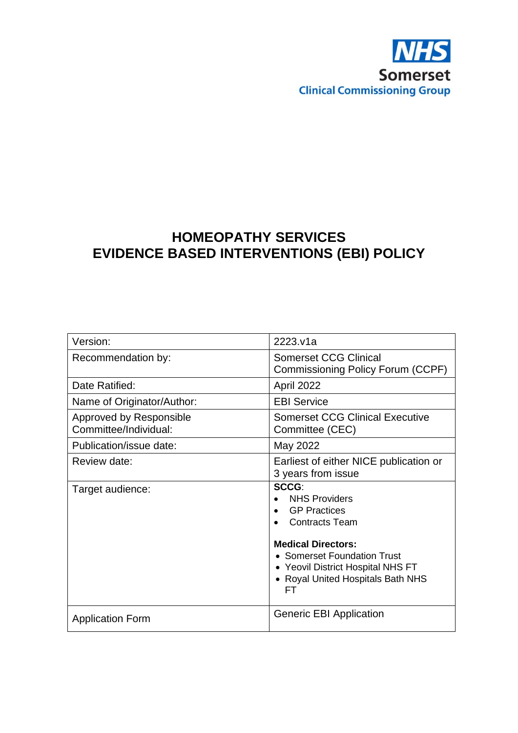

# **HOMEOPATHY SERVICES EVIDENCE BASED INTERVENTIONS (EBI) POLICY**

| Version:                                         | 2223.v1a                                                                                                                                                                                                                               |
|--------------------------------------------------|----------------------------------------------------------------------------------------------------------------------------------------------------------------------------------------------------------------------------------------|
| Recommendation by:                               | <b>Somerset CCG Clinical</b><br>Commissioning Policy Forum (CCPF)                                                                                                                                                                      |
| Date Ratified:                                   | April 2022                                                                                                                                                                                                                             |
| Name of Originator/Author:                       | <b>EBI Service</b>                                                                                                                                                                                                                     |
| Approved by Responsible<br>Committee/Individual: | <b>Somerset CCG Clinical Executive</b><br>Committee (CEC)                                                                                                                                                                              |
| Publication/issue date:                          | May 2022                                                                                                                                                                                                                               |
| Review date:                                     | Earliest of either NICE publication or<br>3 years from issue                                                                                                                                                                           |
| Target audience:                                 | SCCG:<br><b>NHS Providers</b><br><b>GP</b> Practices<br>$\bullet$<br><b>Contracts Team</b><br><b>Medical Directors:</b><br>• Somerset Foundation Trust<br>• Yeovil District Hospital NHS FT<br>• Royal United Hospitals Bath NHS<br>FТ |
| <b>Application Form</b>                          | Generic EBI Application                                                                                                                                                                                                                |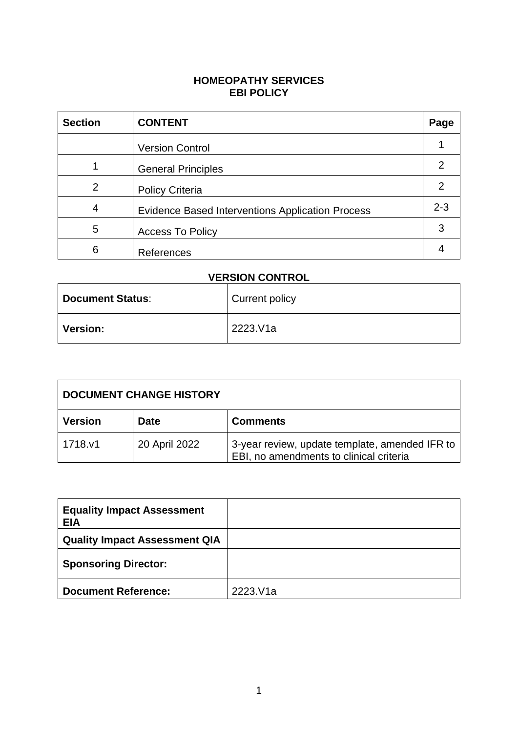#### **HOMEOPATHY SERVICES EBI POLICY**

| <b>Section</b> | <b>CONTENT</b>                                          | Page    |
|----------------|---------------------------------------------------------|---------|
|                | <b>Version Control</b>                                  |         |
|                | <b>General Principles</b>                               | 2       |
| 2              | <b>Policy Criteria</b>                                  | 2       |
| 4              | <b>Evidence Based Interventions Application Process</b> | $2 - 3$ |
| 5              | <b>Access To Policy</b>                                 | 3       |
| 6              | References                                              |         |

# **VERSION CONTROL**

| <b>Document Status:</b> | Current policy |
|-------------------------|----------------|
| <b>Version:</b>         | 2223.V1a       |

| <b>DOCUMENT CHANGE HISTORY</b> |               |                                                                                           |
|--------------------------------|---------------|-------------------------------------------------------------------------------------------|
| <b>Version</b>                 | Date          | <b>Comments</b>                                                                           |
| 1718.v1                        | 20 April 2022 | 3-year review, update template, amended IFR to<br>EBI, no amendments to clinical criteria |

| <b>Equality Impact Assessment</b><br><b>EIA</b> |          |
|-------------------------------------------------|----------|
| <b>Quality Impact Assessment QIA</b>            |          |
| <b>Sponsoring Director:</b>                     |          |
| <b>Document Reference:</b>                      | 2223.V1a |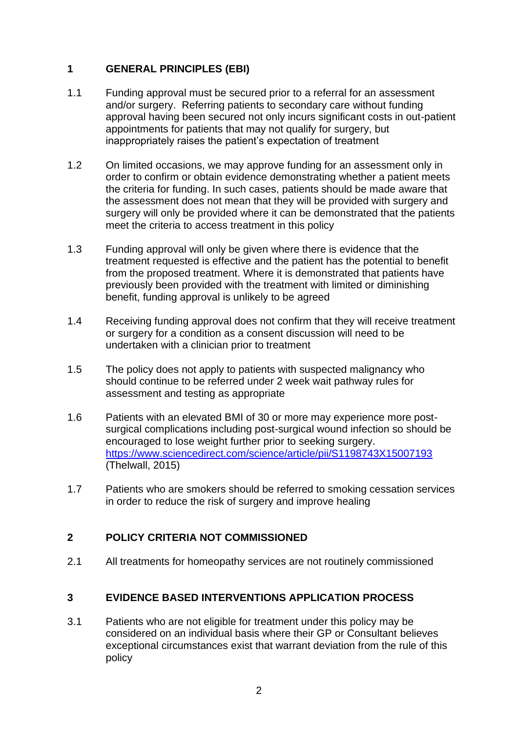#### **1 GENERAL PRINCIPLES (EBI)**

- 1.1 Funding approval must be secured prior to a referral for an assessment and/or surgery. Referring patients to secondary care without funding approval having been secured not only incurs significant costs in out-patient appointments for patients that may not qualify for surgery, but inappropriately raises the patient's expectation of treatment
- 1.2 On limited occasions, we may approve funding for an assessment only in order to confirm or obtain evidence demonstrating whether a patient meets the criteria for funding. In such cases, patients should be made aware that the assessment does not mean that they will be provided with surgery and surgery will only be provided where it can be demonstrated that the patients meet the criteria to access treatment in this policy
- 1.3 Funding approval will only be given where there is evidence that the treatment requested is effective and the patient has the potential to benefit from the proposed treatment. Where it is demonstrated that patients have previously been provided with the treatment with limited or diminishing benefit, funding approval is unlikely to be agreed
- 1.4 Receiving funding approval does not confirm that they will receive treatment or surgery for a condition as a consent discussion will need to be undertaken with a clinician prior to treatment
- 1.5 The policy does not apply to patients with suspected malignancy who should continue to be referred under 2 week wait pathway rules for assessment and testing as appropriate
- 1.6 Patients with an elevated BMI of 30 or more may experience more postsurgical complications including post-surgical wound infection so should be encouraged to lose weight further prior to seeking surgery. <https://www.sciencedirect.com/science/article/pii/S1198743X15007193> (Thelwall, 2015)
- 1.7 Patients who are smokers should be referred to smoking cessation services in order to reduce the risk of surgery and improve healing

## **2 POLICY CRITERIA NOT COMMISSIONED**

2.1 All treatments for homeopathy services are not routinely commissioned

## **3 EVIDENCE BASED INTERVENTIONS APPLICATION PROCESS**

3.1 Patients who are not eligible for treatment under this policy may be considered on an individual basis where their GP or Consultant believes exceptional circumstances exist that warrant deviation from the rule of this policy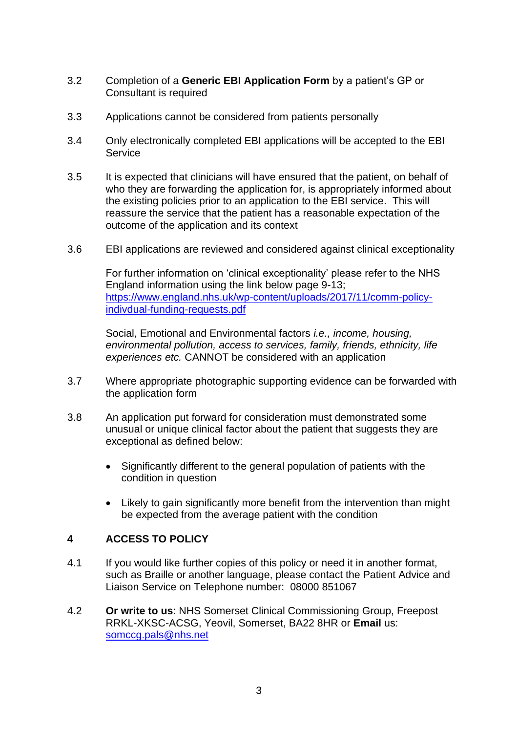- 3.2 Completion of a **Generic EBI Application Form** by a patient's GP or Consultant is required
- 3.3 Applications cannot be considered from patients personally
- 3.4 Only electronically completed EBI applications will be accepted to the EBI **Service**
- 3.5 It is expected that clinicians will have ensured that the patient, on behalf of who they are forwarding the application for, is appropriately informed about the existing policies prior to an application to the EBI service. This will reassure the service that the patient has a reasonable expectation of the outcome of the application and its context
- 3.6 EBI applications are reviewed and considered against clinical exceptionality

For further information on 'clinical exceptionality' please refer to the NHS England information using the link below page 9-13; [https://www.england.nhs.uk/wp-content/uploads/2017/11/comm-policy](https://www.england.nhs.uk/wp-content/uploads/2017/11/comm-policy-indivdual-funding-requests.pdf)[indivdual-funding-requests.pdf](https://www.england.nhs.uk/wp-content/uploads/2017/11/comm-policy-indivdual-funding-requests.pdf)

Social, Emotional and Environmental factors *i.e., income, housing, environmental pollution, access to services, family, friends, ethnicity, life experiences etc.* CANNOT be considered with an application

- 3.7 Where appropriate photographic supporting evidence can be forwarded with the application form
- 3.8 An application put forward for consideration must demonstrated some unusual or unique clinical factor about the patient that suggests they are exceptional as defined below:
	- Significantly different to the general population of patients with the condition in question
	- Likely to gain significantly more benefit from the intervention than might be expected from the average patient with the condition

#### **4 ACCESS TO POLICY**

- 4.1 If you would like further copies of this policy or need it in another format, such as Braille or another language, please contact the Patient Advice and Liaison Service on Telephone number: 08000 851067
- 4.2 **Or write to us**: NHS Somerset Clinical Commissioning Group, Freepost RRKL-XKSC-ACSG, Yeovil, Somerset, BA22 8HR or **Email** us: [somccg.pals@nhs.net](mailto:somccg.pals@nhs.net)